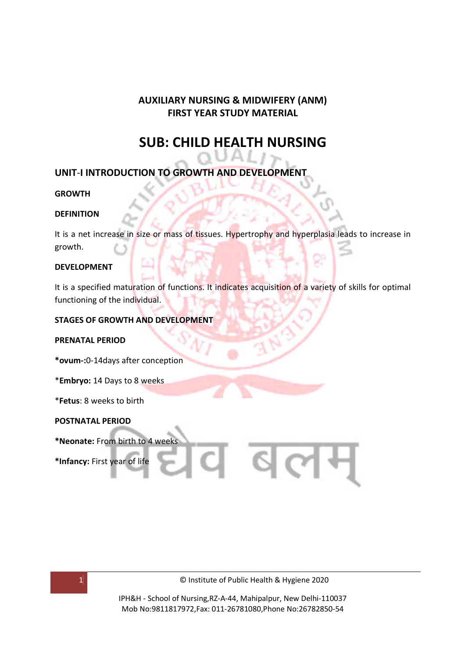## **AUXILIARY NURSING & MIDWIFERY (ANM) FIRST YEAR STUDY MATERIAL**

## **SUB: CHILD HEALTH NURSING**

## **UNIT**-**I INTRODUCTION TO GROWTH AND DEVELOPMENT**

#### **GROWTH**

#### **DEFINITION**

It is a net increase in size or mass of tissues. Hypertrophy and hyperplasia leads to increase in growth.

#### **DEVELOPMENT**

It is a specified maturation of functions. It indicates acquisition of a variety of skills for optimal functioning of the individual.

#### **STAGES OF GROWTH AND DEVELOPMENT**

#### **PRENATAL PERIOD**

**\*ovum-:**0-14days after conception

\***Embryo:** 14 Days to 8 weeks

\***Fetus**: 8 weeks to birth

#### **POSTNATAL PERIOD**

**\*Neonate:** From birth to 4 weeks

**\*Infancy:** First year of life

1 © Institute of Public Health & Hygiene 2020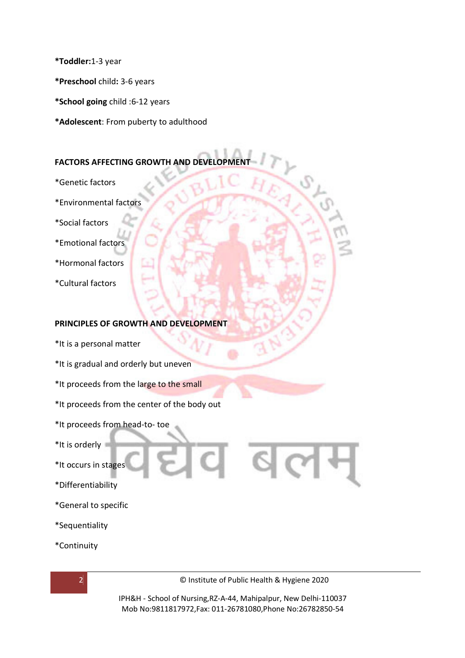**\*Toddler:**1-3 year

**\*Preschool** child**:** 3-6 years

**\*School going** child :6-12 years

**\*Adolescent**: From puberty to adulthood

#### **FACTORS AFFECTING GROWTH AND DEVELOPMENT**

- \*Genetic factors
- \*Environmental factors
- \*Social factors
- \*Emotional factors
- \*Hormonal factors
- \*Cultural factors

#### **PRINCIPLES OF GROWTH AND DEVELOPMENT**

- \*It is a personal matter
- \*It is gradual and orderly but uneven
- \*It proceeds from the large to the small
- \*It proceeds from the center of the body out
- \*It proceeds from head-to- toe
- \*It is orderly
- \*It occurs in stages
- \*Differentiability
- \*General to specific
- \*Sequentiality
- \*Continuity



2 © Institute of Public Health & Hygiene 2020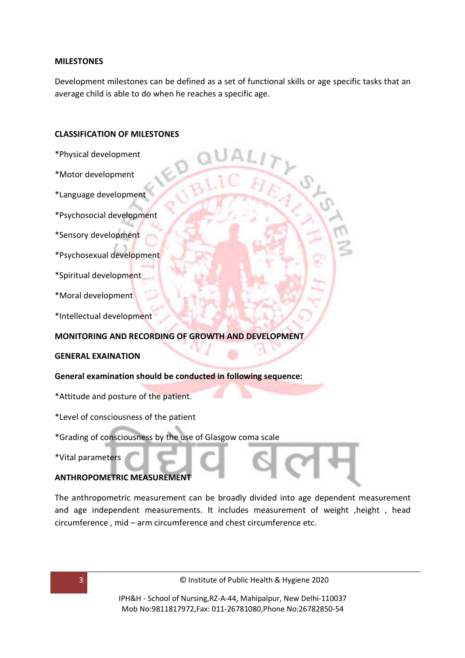#### **MILESTONES**

Development milestones can be defined as a set of functional skills or age specific tasks that an average child is able to do when he reaches a specific age.

#### **CLASSIFICATION OF MILESTONES**

- \*Physical development
- \*Motor development
- \*Language development
- \*Psychosocial development
- \*Sensory development
- \*Psychosexual development
- \*Spiritual development
- \*Moral development
- \*Intellectual development

#### **MONITORING AND RECORDING OF GROWTH AND DEVELOPMENT**

#### **GENERAL EXAINATION**

#### **General examination should be conducted in following sequence:**

- \*Attitude and posture of the patient.
- \*Level of consciousness of the patient
- \*Grading of consciousness by the use of Glasgow coma scale
- \*Vital parameters

#### **ANTHROPOMETRIC MEASUREMENT**

The anthropometric measurement can be broadly divided into age dependent measurement and age independent measurements. It includes measurement of weight, height, head circumference , mid – arm circumference and chest circumference etc.

3 © Institute of Public Health & Hygiene 2020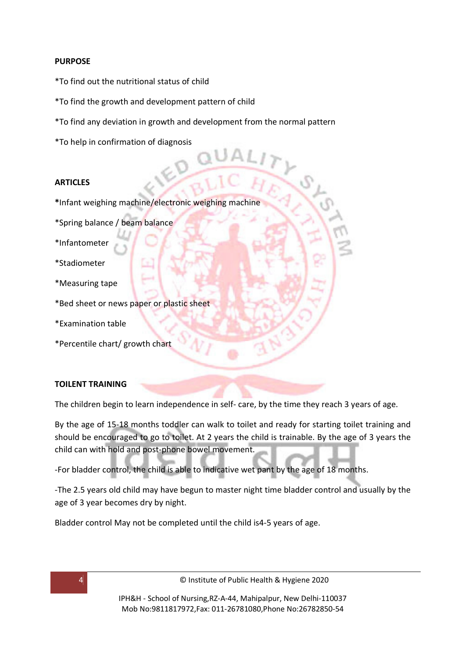#### **PURPOSE**

- \*To find out the nutritional status of child
- \*To find the growth and development pattern of child
- \*To find any deviation in growth and development from the normal pattern
- \*To help in confirmation of diagnosis

#### **ARTICLES**

- **\***Infant weighing machine/electronic weighing machine
- \*Spring balance / beam balance
- \*Infantometer
- \*Stadiometer
- \*Measuring tape
- \*Bed sheet or news paper or plastic sheet
- \*Examination table
- \*Percentile chart/ growth chart

#### **TOILENT TRAINING**

The children begin to learn independence in self- care, by the time they reach 3 years of age.

By the age of 15-18 months toddler can walk to toilet and ready for starting toilet training and should be encouraged to go to toilet. At 2 years the child is trainable. By the age of 3 years the child can with hold and post-phone bowel movement.

-For bladder control, the child is able to indicative wet pant by the age of 18 months.

-The 2.5 years old child may have begun to master night time bladder control and usually by the age of 3 year becomes dry by night.

Bladder control May not be completed until the child is4-5 years of age.

4 © Institute of Public Health & Hygiene 2020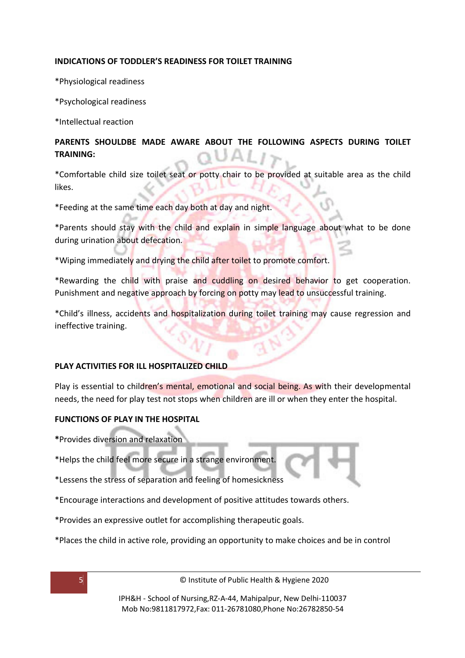#### **INDICATIONS OF TODDLER'S READINESS FOR TOILET TRAINING**

\*Physiological readiness

\*Psychological readiness

\*Intellectual reaction

#### **PARENTS SHOULDBE MADE AWARE ABOUT THE FOLLOWING ASPECTS DURING TOILET TRAINING:**

\*Comfortable child size toilet seat or potty chair to be provided at suitable area as the child likes.

\*Feeding at the same time each day both at day and night.

\*Parents should stay with the child and explain in simple language about what to be done during urination about defecation.

\*Wiping immediately and drying the child after toilet to promote comfort.

\*Rewarding the child with praise and cuddling on desired behavior to get cooperation. Punishment and negative approach by forcing on potty may lead to unsuccessful training.

\*Child's illness, accidents and hospitalization during toilet training may cause regression and ineffective training.

#### **PLAY ACTIVITIES FOR ILL HOSPITALIZED CHILD**

Play is essential to children's mental, emotional and social being. As with their developmental needs, the need for play test not stops when children are ill or when they enter the hospital.

#### **FUNCTIONS OF PLAY IN THE HOSPITAL**

- **\***Provides diversion and relaxation
- \*Helps the child feel more secure in a strange environment.
- \*Lessens the stress of separation and feeling of homesickness
- \*Encourage interactions and development of positive attitudes towards others.
- \*Provides an expressive outlet for accomplishing therapeutic goals.
- \*Places the child in active role, providing an opportunity to make choices and be in control

5 © Institute of Public Health & Hygiene 2020

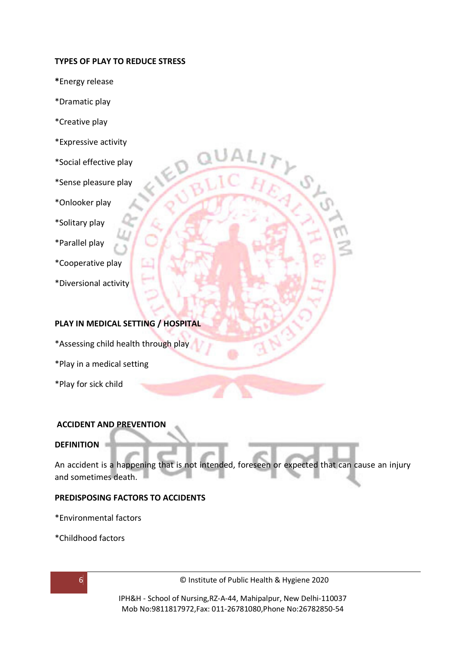#### **TYPES OF PLAY TO REDUCE STRESS**

- **\***Energy release
- \*Dramatic play
- \*Creative play
- \*Expressive activity
- \*Social effective play
- \*Sense pleasure play
- \*Onlooker play
- \*Solitary play
- \*Parallel play
- \*Cooperative play
- \*Diversional activity

#### **PLAY IN MEDICAL SETTING / HOSPITAL**

- \*Assessing child health through play
- \*Play in a medical setting
- \*Play for sick child

#### **ACCIDENT AND PREVENTION**

#### **DEFINITION**

An accident is a happening that is not intended, foreseen or expected that can cause an injury and sometimes death.

#### **PREDISPOSING FACTORS TO ACCIDENTS**

\*Environmental factors

\*Childhood factors

6 © Institute of Public Health & Hygiene 2020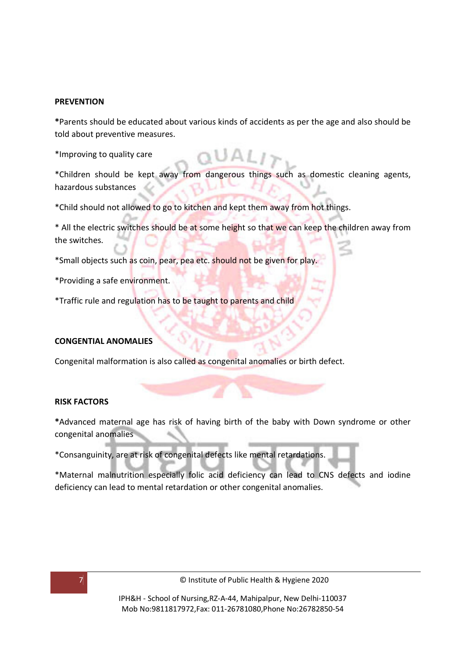#### **PREVENTION**

**\***Parents should be educated about various kinds of accidents as per the age and also should be told about preventive measures.

\*Improving to quality care

\*Children should be kept away from dangerous things such as domestic cleaning agents, hazardous substances

\*Child should not allowed to go to kitchen and kept them away from hot things.

\* All the electric switches should be at some height so that we can keep the children away from the switches.

\*Small objects such as coin, pear, pea etc. should not be given for play.

\*Providing a safe environment.

\*Traffic rule and regulation has to be taught to parents and child

#### **CONGENTIAL ANOMALIES**

Congenital malformation is also called as congenital anomalies or birth defect.

#### **RISK FACTORS**

**\***Advanced maternal age has risk of having birth of the baby with Down syndrome or other congenital anomalies

\*Consanguinity, are at risk of congenital defects like mental retardations.

\*Maternal malnutrition especially folic acid deficiency can lead to CNS defects and iodine deficiency can lead to mental retardation or other congenital anomalies.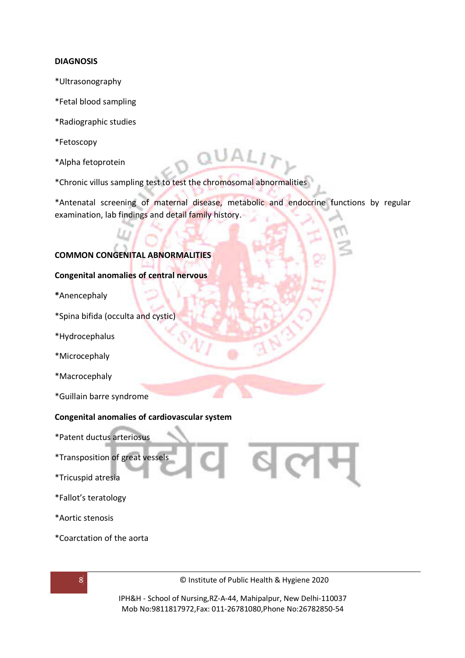#### **DIAGNOSIS**

- \*Ultrasonography
- \*Fetal blood sampling
- \*Radiographic studies
- \*Fetoscopy
- \*Alpha fetoprotein
- \*Chronic villus sampling test to test the chromosomal abnormalities

\*Antenatal screening of maternal disease, metabolic and endocrine functions by regular examination, lab findings and detail family history.

#### **COMMON CONGENITAL ABNORMALITIES**

#### **Congenital anomalies of central nervous**

- **\***Anencephaly
- \*Spina bifida (occulta and cystic)
- \*Hydrocephalus
- \*Microcephaly
- \*Macrocephaly
- \*Guillain barre syndrome

#### **Congenital anomalies of cardiovascular system**

- \*Patent ductus arteriosus
- \*Transposition of great vessels
- \*Tricuspid atresia
- \*Fallot's teratology
- \*Aortic stenosis
- \*Coarctation of the aorta



8 **8 CONFIDENTIAL CONSTRUCTED BY A READ TO A READ TO A READ THE ST** OF Institute of Public Health & Hygiene 2020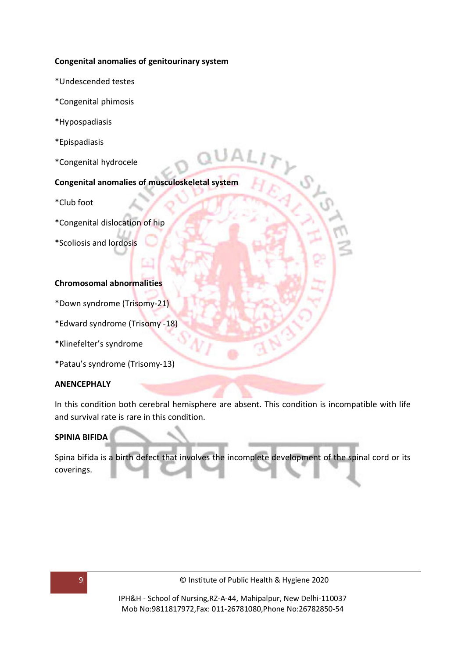#### **Congenital anomalies of genitourinary system**

- \*Undescended testes
- \*Congenital phimosis
- \*Hypospadiasis
- \*Epispadiasis
- \*Congenital hydrocele

#### **Congenital anomalies of musculoskeletal system**

- \*Club foot
- \*Congenital dislocation of hip
- \*Scoliosis and lordosis

#### **Chromosomal abnormalities**

- \*Down syndrome (Trisomy-21)
- \*Edward syndrome (Trisomy -18)
- \*Klinefelter's syndrome
- \*Patau's syndrome (Trisomy-13)

#### **ANENCEPHALY**

In this condition both cerebral hemisphere are absent. This condition is incompatible with life and survival rate is rare in this condition.

#### **SPINIA BIFIDA**

Spina bifida is a birth defect that involves the incomplete development of the spinal cord or its coverings.

9 © Institute of Public Health & Hygiene 2020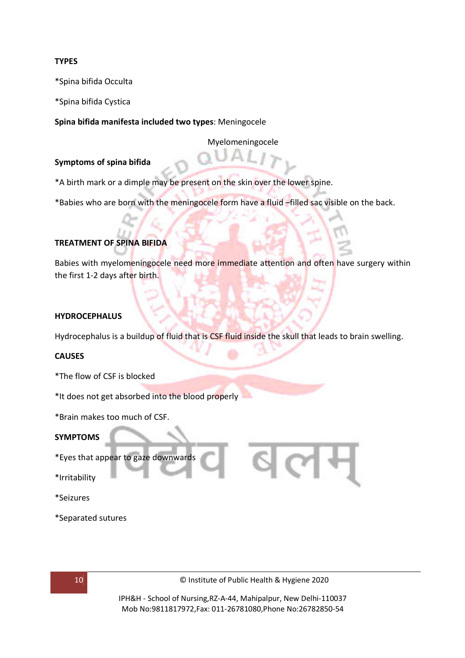#### **TYPES**

\*Spina bifida Occulta

\*Spina bifida Cystica

**Spina bifida manifesta included two types**: Meningocele

Myelomeningocele

#### **Symptoms of spina bifida**

\*A birth mark or a dimple may be present on the skin over the lower spine.

\*Babies who are born with the meningocele form have a fluid –filled sac visible on the back.

#### **TREATMENT OF SPINA BIFIDA**

Babies with myelomeningocele need more immediate attention and often have surgery within the first 1-2 days after birth.

#### **HYDROCEPHALUS**

Hydrocephalus is a buildup of fluid that is CSF fluid inside the skull that leads to brain swelling.

#### **CAUSES**

- \*The flow of CSF is blocked
- \*It does not get absorbed into the blood properly
- \*Brain makes too much of CSF.

#### **SYMPTOMS**

\*Eyes that appear to gaze downwards

\*Irritability

\*Seizures

\*Separated sutures



10 © Institute of Public Health & Hygiene 2020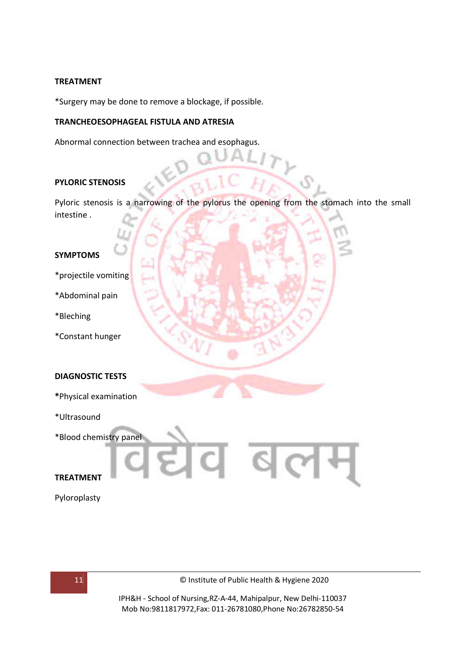#### **TREATMENT**

\*Surgery may be done to remove a blockage, if possible.

#### **TRANCHEOESOPHAGEAL FISTULA AND ATRESIA**

Abnormal connection between trachea and esophagus.

#### **PYLORIC STENOSIS**

Pyloric stenosis is a narrowing of the pylorus the opening from the stomach into the small intestine .

#### **SYMPTOMS**

- \*projectile vomiting
- \*Abdominal pain
- \*Bleching
- \*Constant hunger

#### **DIAGNOSTIC TESTS**

- **\***Physical examination
- \*Ultrasound
- \*Blood chemistry panel

#### **TREATMENT**

Pyloroplasty



cl

 $\lceil$  c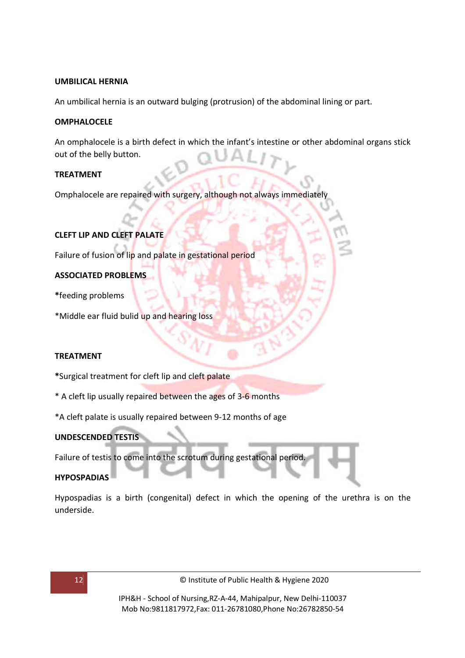#### **UMBILICAL HERNIA**

An umbilical hernia is an outward bulging (protrusion) of the abdominal lining or part.

#### **OMPHALOCELE**

An omphalocele is a birth defect in which the infant's intestine or other abdominal organs stick out of the belly button.

#### **TREATMENT**

Omphalocele are repaired with surgery, although not always immediately

#### **CLEFT LIP AND CLEFT PALATE**

Failure of fusion of lip and palate in gestational period

#### **ASSOCIATED PROBLEMS**

**\***feeding problems

\*Middle ear fluid bulid up and hearing loss

#### **TREATMENT**

**\***Surgical treatment for cleft lip and cleft palate

- \* A cleft lip usually repaired between the ages of 3-6 months
- \*A cleft palate is usually repaired between 9-12 months of age

#### **UNDESCENDED TESTIS**

Failure of testis to come into the scrotum during gestational period.

#### **HYPOSPADIAS**

Hypospadias is a birth (congenital) defect in which the opening of the urethra is on the underside.

12 © Institute of Public Health & Hygiene 2020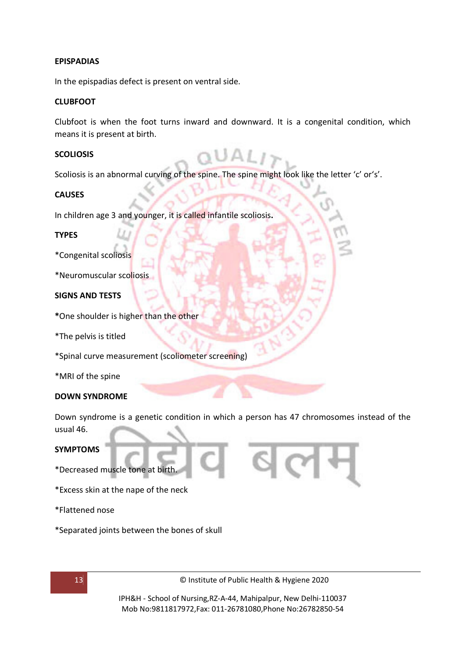#### **EPISPADIAS**

In the epispadias defect is present on ventral side.

#### **CLUBFOOT**

Clubfoot is when the foot turns inward and downward. It is a congenital condition, which means it is present at birth.

#### **SCOLIOSIS**

Scoliosis is an abnormal curving of the spine. The spine might look like the letter 'c' or's'.

#### **CAUSES**

In children age 3 and younger, it is called infantile scoliosis**.** 

#### **TYPES**

\*Congenital scoliosis

\*Neuromuscular scoliosis

#### **SIGNS AND TESTS**

**\***One shoulder is higher than the other

\*The pelvis is titled

\*Spinal curve measurement (scoliometer screening)

\*MRI of the spine

#### **DOWN SYNDROME**

Down syndrome is a genetic condition in which a person has 47 chromosomes instead of the usual 46.

#### **SYMPTOMS**

\*Decreased muscle tone at birth.

- \*Excess skin at the nape of the neck
- \*Flattened nose
- \*Separated joints between the bones of skull



13 © Institute of Public Health & Hygiene 2020

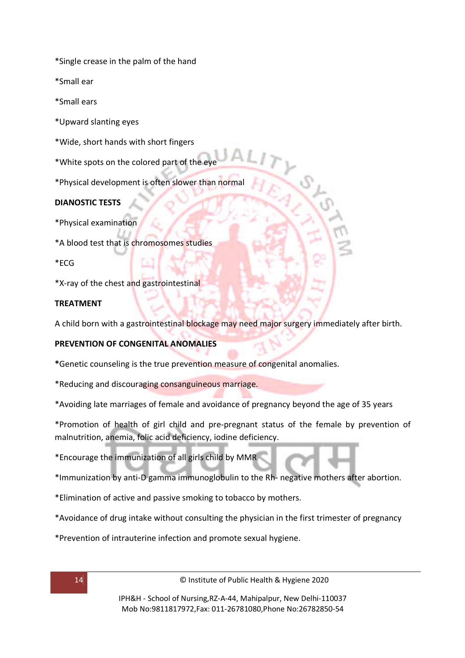\*Single crease in the palm of the hand

\*Small ear

\*Small ears

\*Upward slanting eyes

\*Wide, short hands with short fingers

\*White spots on the colored part of the eye

\*Physical development is often slower than normal

#### **DIANOSTIC TESTS**

\*Physical examination

\*A blood test that is chromosomes studies

\*ECG

\*X-ray of the chest and gastrointestinal

#### **TREATMENT**

A child born with a gastrointestinal blockage may need major surgery immediately after birth.

#### **PREVENTION OF CONGENITAL ANOMALIES**

**\***Genetic counseling is the true prevention measure of congenital anomalies.

\*Reducing and discouraging consanguineous marriage.

\*Avoiding late marriages of female and avoidance of pregnancy beyond the age of 35 years

\*Promotion of health of girl child and pre-pregnant status of the female by prevention of malnutrition, anemia, folic acid deficiency, iodine deficiency.

\*Encourage the immunization of all girls child by MMR

\*Immunization by anti-D gamma immunoglobulin to the Rh- negative mothers after abortion.

\*Elimination of active and passive smoking to tobacco by mothers.

\*Avoidance of drug intake without consulting the physician in the first trimester of pregnancy

\*Prevention of intrauterine infection and promote sexual hygiene.

14 © Institute of Public Health & Hygiene 2020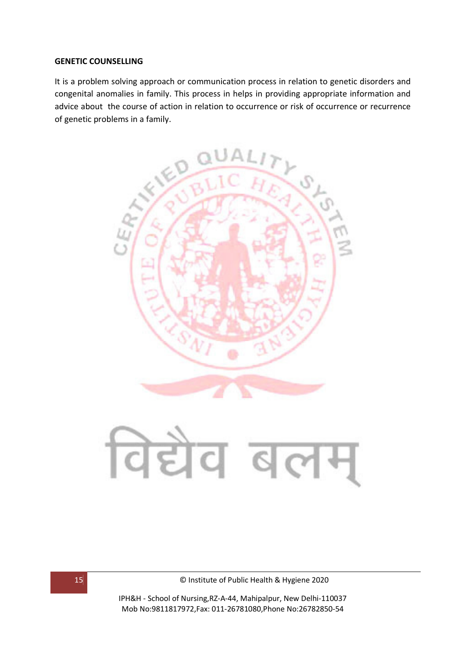#### **GENETIC COUNSELLING**

It is a problem solving approach or communication process in relation to genetic disorders and congenital anomalies in family. This process in helps in providing appropriate information and advice about the course of action in relation to occurrence or risk of occurrence or recurrence of genetic problems in a family.





15 © Institute of Public Health & Hygiene 2020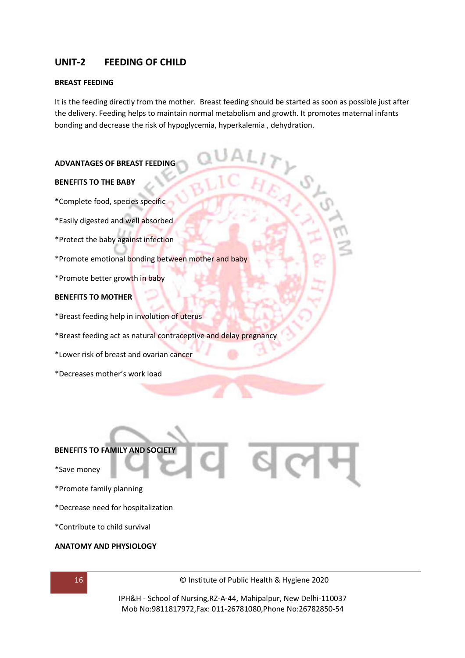#### **UNIT-2 FEEDING OF CHILD**

#### **BREAST FEEDING**

It is the feeding directly from the mother. Breast feeding should be started as soon as possible just after the delivery. Feeding helps to maintain normal metabolism and growth. It promotes maternal infants bonding and decrease the risk of hypoglycemia, hyperkalemia , dehydration.

#### **ADVANTAGES OF BREAST FEEDING**

#### **BENEFITS TO THE BABY**

- **\***Complete food, species specific
- \*Easily digested and well absorbed
- \*Protect the baby against infection
- \*Promote emotional bonding between mother and baby
- \*Promote better growth in baby

#### **BENEFITS TO MOTHER**

- \*Breast feeding help in involution of uterus
- \*Breast feeding act as natural contraceptive and delay pregnancy
- \*Lower risk of breast and ovarian cancer
- \*Decreases mother's work load

# **BENEFITS TO FAMILY AND SOCIETY**  \*Save money \*Promote family planning

- \*Decrease need for hospitalization
- \*Contribute to child survival

#### **ANATOMY AND PHYSIOLOGY**

16 © Institute of Public Health & Hygiene 2020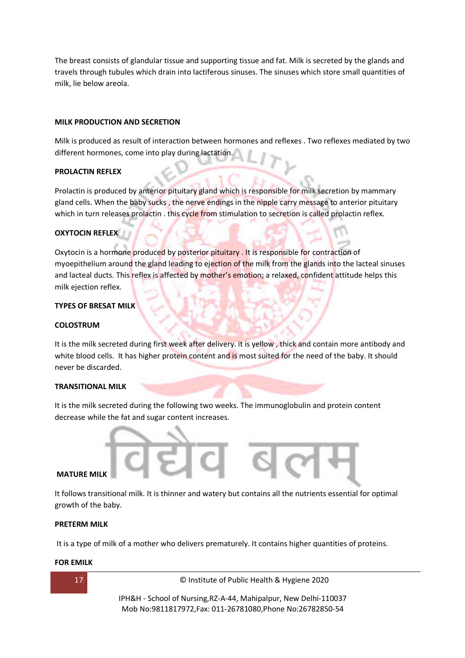The breast consists of glandular tissue and supporting tissue and fat. Milk is secreted by the glands and travels through tubules which drain into lactiferous sinuses. The sinuses which store small quantities of milk, lie below areola.

#### **MILK PRODUCTION AND SECRETION**

Milk is produced as result of interaction between hormones and reflexes . Two reflexes mediated by two different hormones, come into play during lactation.

#### **PROLACTIN REFLEX**

Prolactin is produced by anterior pituitary gland which is responsible for milk secretion by mammary gland cells. When the baby sucks, the nerve endings in the nipple carry message to anterior pituitary which in turn releases prolactin . this cycle from stimulation to secretion is called prolactin reflex.

#### **OXYTOCIN REFLEX**

Oxytocin is a hormone produced by posterior pituitary . It is responsible for contraction of myoepithelium around the gland leading to ejection of the milk from the glands into the lacteal sinuses and lacteal ducts. This reflex is affected by mother's emotion; a relaxed, confident attitude helps this milk ejection reflex.

#### **TYPES OF BRESAT MILK**

#### **COLOSTRUM**

It is the milk secreted during first week after delivery. it is yellow , thick and contain more antibody and white blood cells. It has higher protein content and is most suited for the need of the baby. It should never be discarded.

#### **TRANSITIONAL MILK**

It is the milk secreted during the following two weeks. The immunoglobulin and protein content decrease while the fat and sugar content increases.

#### **MATURE MILK**

It follows transitional milk. It is thinner and watery but contains all the nutrients essential for optimal growth of the baby.

#### **PRETERM MILK**

It is a type of milk of a mother who delivers prematurely. It contains higher quantities of proteins.

#### **FOR EMILK**



17 © Institute of Public Health & Hygiene 2020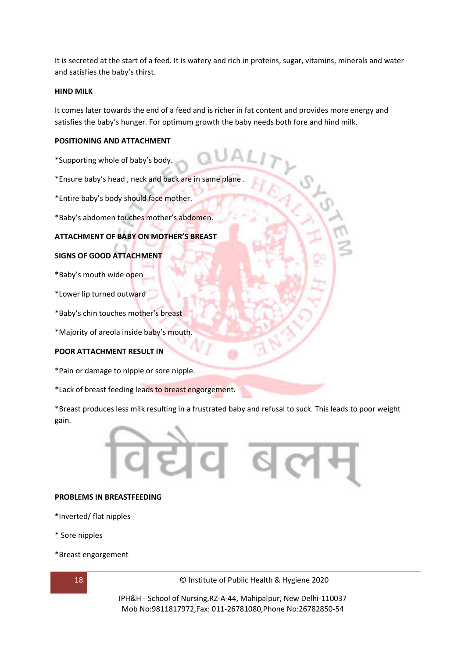It is secreted at the start of a feed. It is watery and rich in proteins, sugar, vitamins, minerals and water and satisfies the baby's thirst.

#### **HIND MILK**

It comes later towards the end of a feed and is richer in fat content and provides more energy and satisfies the baby's hunger. For optimum growth the baby needs both fore and hind milk.

#### **POSITIONING AND ATTACHMENT**

\*Supporting whole of baby's body.

\*Ensure baby's head , neck and back are in same plane .

\*Entire baby's body should face mother.

\*Baby's abdomen touches mother's abdomen.

#### **ATTACHMENT OF BABY ON MOTHER'S BREAST**

#### **SIGNS OF GOOD ATTACHMENT**

**\***Baby's mouth wide open

\*Lower lip turned outward

\*Baby's chin touches mother's breast

\*Majority of areola inside baby's mouth.

#### **POOR ATTACHMENT RESULT IN**

\*Pain or damage to nipple or sore nipple.

\*Lack of breast feeding leads to breast engorgement.

\*Breast produces less milk resulting in a frustrated baby and refusal to suck. This leads to poor weight gain.

# ľ

#### **PROBLEMS IN BREASTFEEDING**

- **\***Inverted/ flat nipples
- \* Sore nipples
- \*Breast engorgement



18 © Institute of Public Health & Hygiene 2020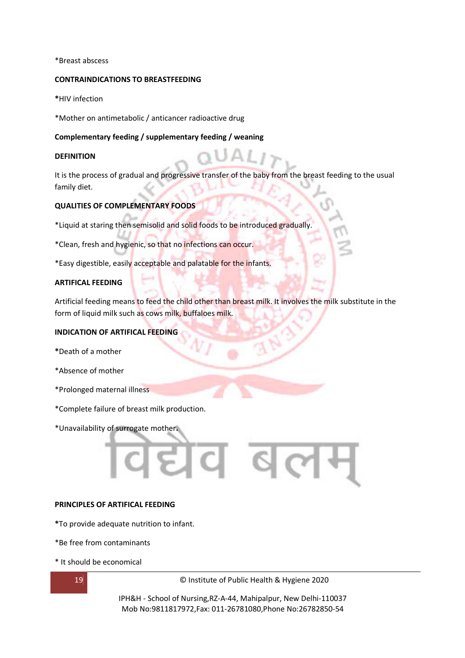#### \*Breast abscess

#### **CONTRAINDICATIONS TO BREASTFEEDING**

**\***HIV infection

\*Mother on antimetabolic / anticancer radioactive drug

#### **Complementary feeding / supplementary feeding / weaning**

#### **DEFINITION**

It is the process of gradual and progressive transfer of the baby from the breast feeding to the usual family diet.

#### **QUALITIES OF COMPLEMENTARY FOODS**

\*Liquid at staring then semisolid and solid foods to be introduced gradually.

\*Clean, fresh and hygienic, so that no infections can occur.

\*Easy digestible, easily acceptable and palatable for the infants.

#### **ARTIFICAL FEEDING**

Artificial feeding means to feed the child other than breast milk. It involves the milk substitute in the form of liquid milk such as cows milk, buffaloes milk.

#### **INDICATION OF ARTIFICAL FEEDING**

- **\***Death of a mother
- \*Absence of mother
- \*Prolonged maternal illness
- \*Complete failure of breast milk production.
- \*Unavailability of surrogate mother**.**

#### **PRINCIPLES OF ARTIFICAL FEEDING**

- **\***To provide adequate nutrition to infant.
- \*Be free from contaminants
- \* It should be economical

19 © Institute of Public Health & Hygiene 2020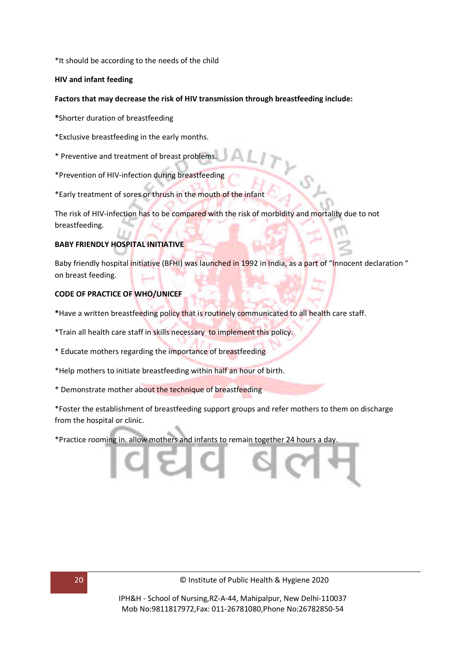\*It should be according to the needs of the child

#### **HIV and infant feeding**

#### **Factors that may decrease the risk of HIV transmission through breastfeeding include:**

**\***Shorter duration of breastfeeding

- \*Exclusive breastfeeding in the early months.
- \* Preventive and treatment of breast problems.
- \*Prevention of HIV-infection during breastfeeding
- \*Early treatment of sores or thrush in the mouth of the infant

The risk of HIV-infection has to be compared with the risk of morbidity and mortality due to not breastfeeding.

#### **BABY FRIENDLY HOSPITAL INITIATIVE**

Baby friendly hospital initiative (BFHI) was launched in 1992 in India, as a part of "Innocent declaration" on breast feeding.

#### **CODE OF PRACTICE OF WHO/UNICEF**

**\***Have a written breastfeeding policy that is routinely communicated to all health care staff.

- \*Train all health care staff in skills necessary to implement this policy.
- \* Educate mothers regarding the importance of breastfeeding
- \*Help mothers to initiate breastfeeding within half an hour of birth.
- \* Demonstrate mother about the technique of breastfeeding

\*Foster the establishment of breastfeeding support groups and refer mothers to them on discharge from the hospital or clinic.

\*Practice rooming in. allow mothers and infants to remain together 24 hours a day.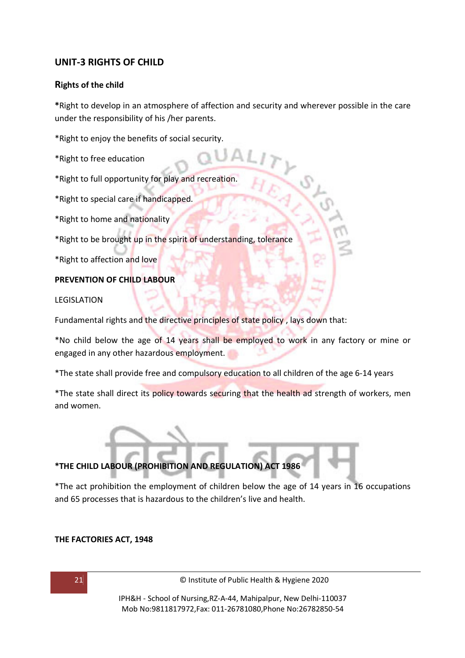#### **UNIT-3 RIGHTS OF CHILD**

#### **Rights of the child**

**\***Right to develop in an atmosphere of affection and security and wherever possible in the care under the responsibility of his /her parents.

\*Right to enjoy the benefits of social security.

- \*Right to free education
- \*Right to full opportunity for play and recreation.
- \*Right to special care if handicapped.
- \*Right to home and nationality
- \*Right to be brought up in the spirit of understanding, tolerance
- \*Right to affection and love

#### **PREVENTION OF CHILD LABOUR**

LEGISLATION

Fundamental rights and the directive principles of state policy , lays down that:

\*No child below the age of 14 years shall be employed to work in any factory or mine or engaged in any other hazardous employment.

\*The state shall provide free and compulsory education to all children of the age 6-14 years

\*The state shall direct its policy towards securing that the health ad strength of workers, men and women.

#### **\*THE CHILD LABOUR (PROHIBITION AND REGULATION) ACT 1986**

\*The act prohibition the employment of children below the age of 14 years in 16 occupations and 65 processes that is hazardous to the children's live and health.

#### **THE FACTORIES ACT, 1948**

21 © Institute of Public Health & Hygiene 2020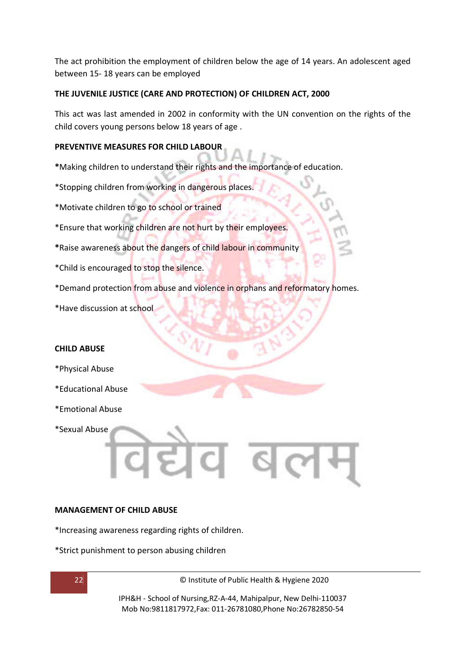The act prohibition the employment of children below the age of 14 years. An adolescent aged between 15- 18 years can be employed

#### **THE JUVENILE JUSTICE (CARE AND PROTECTION) OF CHILDREN ACT, 2000**

This act was last amended in 2002 in conformity with the UN convention on the rights of the child covers young persons below 18 years of age .

#### **PREVENTIVE MEASURES FOR CHILD LABOUR**

**\***Making children to understand their rights and the importance of education.

- \*Stopping children from working in dangerous places.
- \*Motivate children to go to school or trained
- \*Ensure that working children are not hurt by their employees.
- **\***Raise awareness about the dangers of child labour in community
- \*Child is encouraged to stop the silence.
- \*Demand protection from abuse and violence in orphans and reformatory homes.
- \*Have discussion at school

#### **CHILD ABUSE**

- \*Physical Abuse
- \*Educational Abuse
- \*Emotional Abuse

\*Sexual Abuse

#### **MANAGEMENT OF CHILD ABUSE**

\*Increasing awareness regarding rights of children.

\*Strict punishment to person abusing children

22 © Institute of Public Health & Hygiene 2020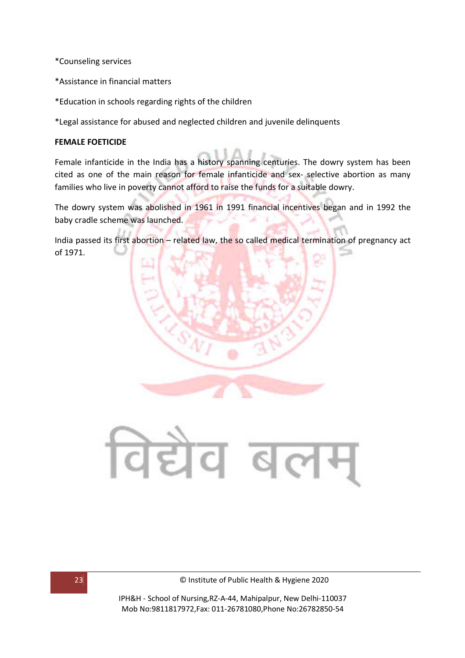\*Counseling services

- \*Assistance in financial matters
- \*Education in schools regarding rights of the children

\*Legal assistance for abused and neglected children and juvenile delinquents

#### **FEMALE FOETICIDE**

Female infanticide in the India has a history spanning centuries. The dowry system has been cited as one of the main reason for female infanticide and sex- selective abortion as many families who live in poverty cannot afford to raise the funds for a suitable dowry.

The dowry system was abolished in 1961 in 1991 financial incentives began and in 1992 the baby cradle scheme was launched.

India passed its first abortion – related law, the so called medical termination of pregnancy act of 1971.

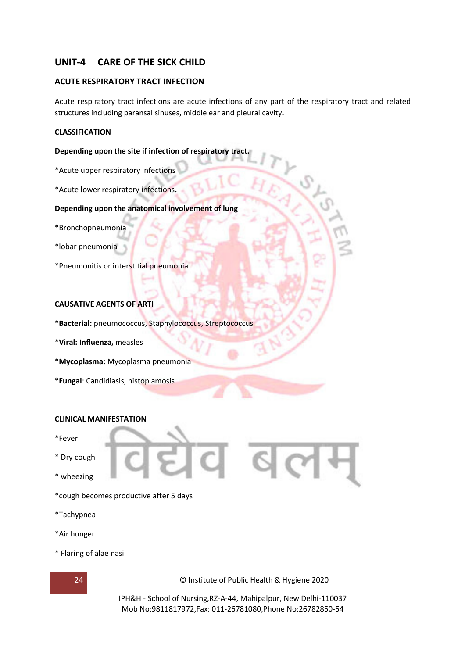#### **UNIT-4 CARE OF THE SICK CHILD**

#### **ACUTE RESPIRATORY TRACT INFECTION**

Acute respiratory tract infections are acute infections of any part of the respiratory tract and related structures including paransal sinuses, middle ear and pleural cavity**.** 

#### **CLASSIFICATION**

#### **Depending upon the site if infection of respiratory tract.**

- **\***Acute upper respiratory infections
- \*Acute lower respiratory infections**.**

#### **Depending upon the anatomical involvement of lung**

- **\***Bronchopneumonia
- \*lobar pneumonia
- \*Pneumonitis or interstitial pneumonia

#### **CAUSATIVE AGENTS OF ARTI**

- **\*Bacterial:** pneumococcus, Staphylococcus, Streptococcus
- **\*Viral: Influenza,** measles
- **\*Mycoplasma:** Mycoplasma pneumonia
- **\*Fungal**: Candidiasis, histoplamosis

#### **CLINICAL MANIFESTATION**

- **\***Fever
- \* Dry cough
- \* wheezing
- \*cough becomes productive after 5 days
- \*Tachypnea
- \*Air hunger
- \* Flaring of alae nasi



24 © Institute of Public Health & Hygiene 2020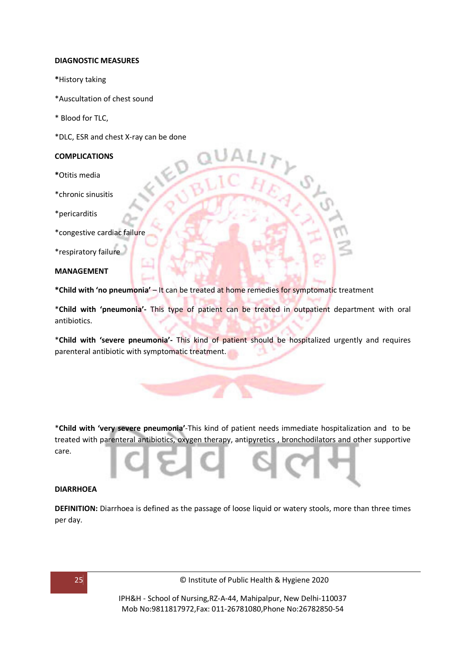#### **DIAGNOSTIC MEASURES**

- **\***History taking
- \*Auscultation of chest sound
- \* Blood for TLC,
- \*DLC, ESR and chest X-ray can be done

#### **COMPLICATIONS**

- **\***Otitis media
- \*chronic sinusitis
- \*pericarditis
- \*congestive cardiac failure

\*respiratory failure

#### **MANAGEMENT**

**\*Child with 'no pneumonia'** – It can be treated at home remedies for symptomatic treatment

\***Child with 'pneumonia'-** This type of patient can be treated in outpatient department with oral antibiotics.

\***Child with 'severe pneumonia'-** This kind of patient should be hospitalized urgently and requires parenteral antibiotic with symptomatic treatment.

\***Child with 'very severe pneumonia'**-This kind of patient needs immediate hospitalization and to be treated with parenteral antibiotics, oxygen therapy, antipyretics , bronchodilators and other supportive care.

#### **DIARRHOEA**

**DEFINITION:** Diarrhoea is defined as the passage of loose liquid or watery stools, more than three times per day.

25 © Institute of Public Health & Hygiene 2020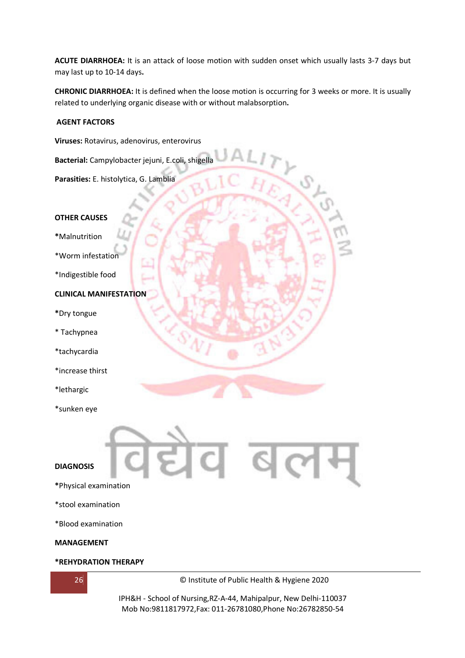**ACUTE DIARRHOEA:** It is an attack of loose motion with sudden onset which usually lasts 3-7 days but may last up to 10-14 days**.** 

**CHRONIC DIARRHOEA:** It is defined when the loose motion is occurring for 3 weeks or more. It is usually related to underlying organic disease with or without malabsorption**.** 

#### **AGENT FACTORS**

**Viruses:** Rotavirus, adenovirus, enterovirus

**Bacterial:** Campylobacter jejuni, E.coli, shigella

**Parasities:** E. histolytica, G. Lamblia

#### **OTHER CAUSES**

**\***Malnutrition

\*Worm infestation

\*Indigestible food

#### **CLINICAL MANIFESTATION**

- **\***Dry tongue
- \* Tachypnea
- \*tachycardia
- \*increase thirst
- \*lethargic
- \*sunken eye



- **DIAGNOSIS**
- **\***Physical examination
- \*stool examination

\*Blood examination

#### **MANAGEMENT**

#### **\*REHYDRATION THERAPY**



26 © Institute of Public Health & Hygiene 2020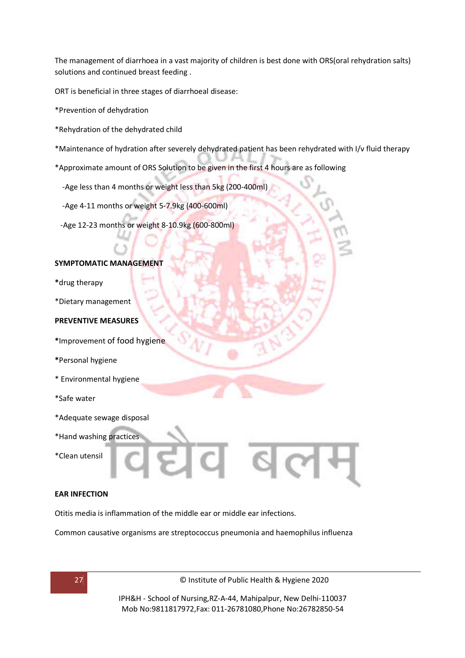The management of diarrhoea in a vast majority of children is best done with ORS(oral rehydration salts) solutions and continued breast feeding .

ORT is beneficial in three stages of diarrhoeal disease:

- \*Prevention of dehydration
- \*Rehydration of the dehydrated child
- \*Maintenance of hydration after severely dehydrated patient has been rehydrated with I/v fluid therapy
- \*Approximate amount of ORS Solution to be given in the first 4 hours are as following
	- -Age less than 4 months or weight less than 5kg (200-400ml)
	- -Age 4-11 months or weight 5-7.9kg (400-600ml)
	- -Age 12-23 months or weight 8-10.9kg (600-800ml)

#### **SYMPTOMATIC MANAGEMENT**

- **\***drug therapy
- \*Dietary management

#### **PREVENTIVE MEASURES**

- **\***Improvement of food hygiene
- **\***Personal hygiene
- \* Environmental hygiene
- \*Safe water
- \*Adequate sewage disposal
- \*Hand washing practices
- \*Clean utensil

#### **EAR INFECTION**

Otitis media is inflammation of the middle ear or middle ear infections.

Common causative organisms are streptococcus pneumonia and haemophilus influenza



27 © Institute of Public Health & Hygiene 2020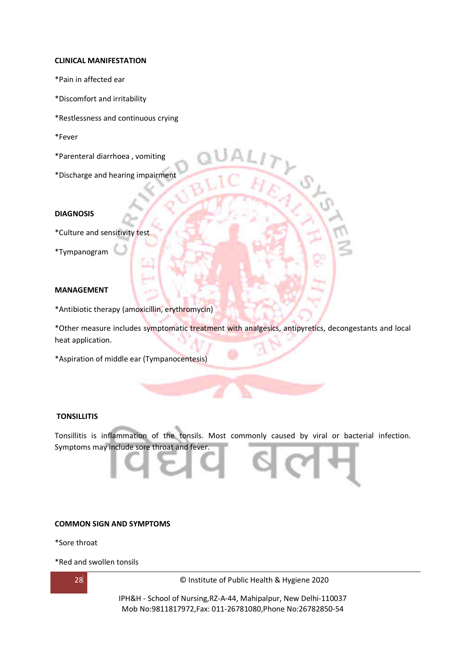#### **CLINICAL MANIFESTATION**

- \*Pain in affected ear
- \*Discomfort and irritability
- \*Restlessness and continuous crying
- \*Fever
- \*Parenteral diarrhoea , vomiting
- \*Discharge and hearing impairment

#### **DIAGNOSIS**

- \*Culture and sensitivity test
- \*Tympanogram

#### **MANAGEMENT**

\*Antibiotic therapy (amoxicillin, erythromycin)

\*Other measure includes symptomatic treatment with analgesics, antipyretics, decongestants and local heat application.

\*Aspiration of middle ear (Tympanocentesis)

#### **TONSILLITIS**

Tonsillitis is inflammation of the tonsils. Most commonly caused by viral or bacterial infection. Symptoms may include sore throat and fever.

#### **COMMON SIGN AND SYMPTOMS**

\*Sore throat

\*Red and swollen tonsils



28 © Institute of Public Health & Hygiene 2020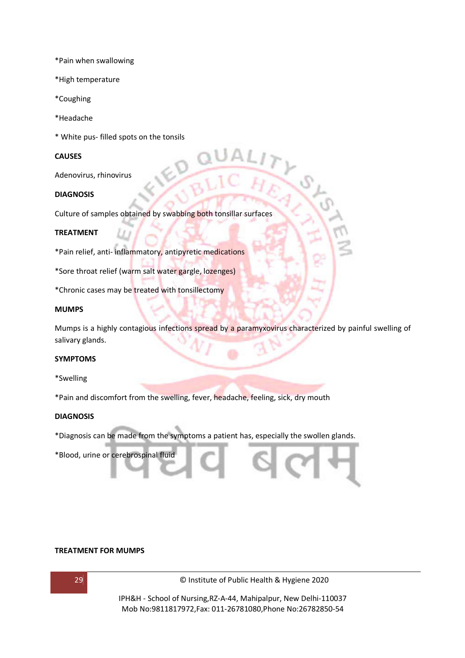\*Pain when swallowing

- \*High temperature
- \*Coughing
- \*Headache
- \* White pus- filled spots on the tonsils

#### **CAUSES**

Adenovirus, rhinovirus

#### **DIAGNOSIS**

Culture of samples obtained by swabbing both tonsillar surfaces

 $\ll$ 

#### **TREATMENT**

\*Pain relief, anti- inflammatory, antipyretic medications

\*Sore throat relief (warm salt water gargle, lozenges)

\*Chronic cases may be treated with tonsillectomy

#### **MUMPS**

Mumps is a highly contagious infections spread by a paramyxovirus characterized by painful swelling of salivary glands.

#### **SYMPTOMS**

\*Swelling

\*Pain and discomfort from the swelling, fever, headache, feeling, sick, dry mouth

#### **DIAGNOSIS**

\*Diagnosis can be made from the symptoms a patient has, especially the swollen glands.

\*Blood, urine or cerebrospinal fluid

#### **TREATMENT FOR MUMPS**



29 © Institute of Public Health & Hygiene 2020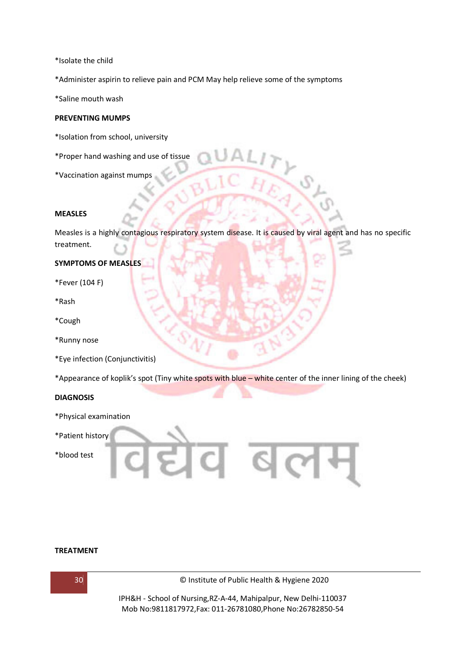\*Isolate the child

\*Administer aspirin to relieve pain and PCM May help relieve some of the symptoms

\*Saline mouth wash

#### **PREVENTING MUMPS**

- \*Isolation from school, university
- \*Proper hand washing and use of tissue
- \*Vaccination against mumps

#### **MEASLES**

Measles is a highly contagious respiratory system disease. It is caused by viral agent and has no specific treatment.

#### **SYMPTOMS OF MEASLES**

- \*Fever (104 F)
- \*Rash
- \*Cough
- \*Runny nose
- \*Eye infection (Conjunctivitis)

\*Appearance of koplik's spot (Tiny white spots with blue – white center of the inner lining of the cheek)

#### **DIAGNOSIS**

- \*Physical examination
- \*Patient history
- \*blood test



#### **TREATMENT**



30 © Institute of Public Health & Hygiene 2020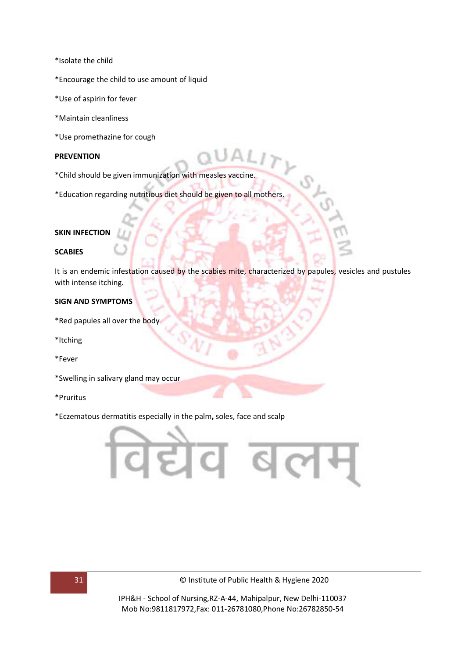- \*Isolate the child
- \*Encourage the child to use amount of liquid
- \*Use of aspirin for fever
- \*Maintain cleanliness
- \*Use promethazine for cough

#### **PREVENTION**

- \*Child should be given immunization with measles vaccine.
- \*Education regarding nutritious diet should be given to all mothers.

#### **SKIN INFECTION**

#### **SCABIES**

It is an endemic infestation caused by the scabies mite, characterized by papules, vesicles and pustules with intense itching.

#### **SIGN AND SYMPTOMS**

- \*Red papules all over the body
- \*Itching
- \*Fever
- \*Swelling in salivary gland may occur
- \*Pruritus
- \*Eczematous dermatitis especially in the palm**,** soles, face and scalp



31 © Institute of Public Health & Hygiene 2020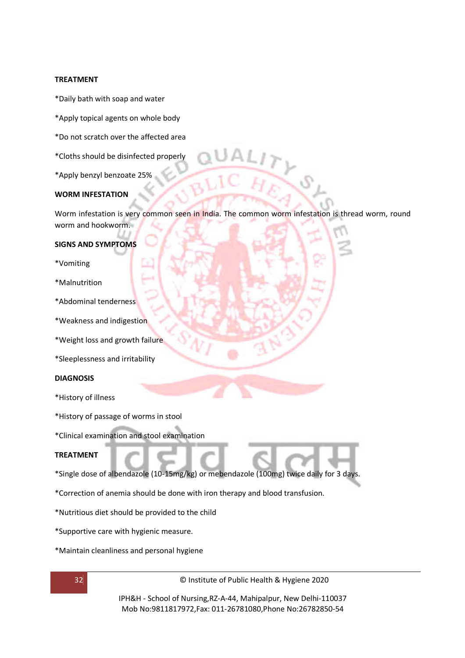#### **TREATMENT**

- \*Daily bath with soap and water
- \*Apply topical agents on whole body
- \*Do not scratch over the affected area
- \*Cloths should be disinfected properly
- \*Apply benzyl benzoate 25%

#### **WORM INFESTATION**

Worm infestation is very common seen in India. The common worm infestation is thread worm, round worm and hookworm.

#### **SIGNS AND SYMPTOMS**

- \*Vomiting
- \*Malnutrition
- \*Abdominal tenderness
- \*Weakness and indigestion
- \*Weight loss and growth failure
- \*Sleeplessness and irritability

#### **DIAGNOSIS**

- \*History of illness
- \*History of passage of worms in stool
- \*Clinical examination and stool examination

#### **TREATMENT**

- \*Single dose of albendazole (10-15mg/kg) or mebendazole (100mg) twice daily for 3 days.
- \*Correction of anemia should be done with iron therapy and blood transfusion.
- \*Nutritious diet should be provided to the child
- \*Supportive care with hygienic measure.
- \*Maintain cleanliness and personal hygiene

32 © Institute of Public Health & Hygiene 2020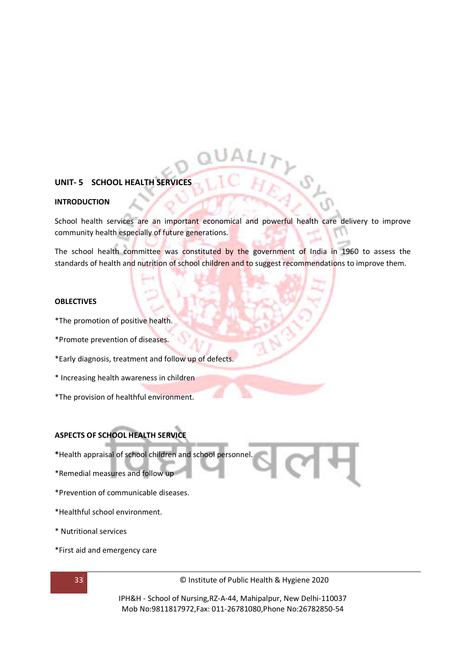#### **UNIT- 5 SCHOOL HEALTH SERVICES**

#### **INTRODUCTION**

School health services are an important economical and powerful health care delivery to improve community health especially of future generations.

The school health committee was constituted by the government of India in 1960 to assess the standards of health and nutrition of school children and to suggest recommendations to improve them.

#### **OBLECTIVES**

- \*The promotion of positive health.
- \*Promote prevention of diseases.
- \*Early diagnosis, treatment and follow up of defects.
- \* Increasing health awareness in children
- \*The provision of healthful environment.

#### **ASPECTS OF SCHOOL HEALTH SERVICE**

- **\***Health appraisal of school children and school personnel.
- \*Remedial measures and follow up
- \*Prevention of communicable diseases.
- \*Healthful school environment.
- \* Nutritional services
- \*First aid and emergency care

33 © Institute of Public Health & Hygiene 2020

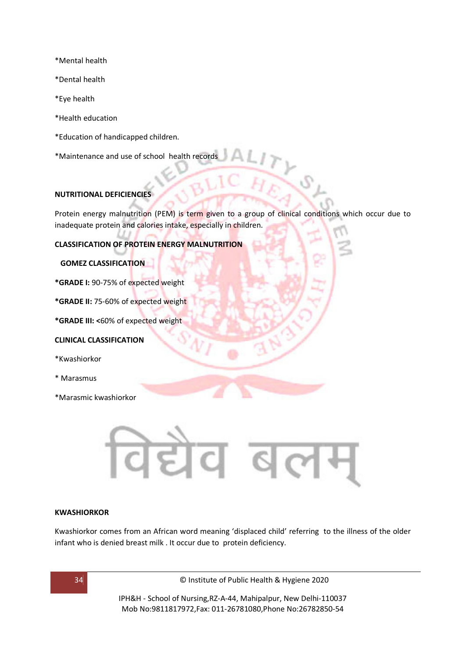- \*Mental health
- \*Dental health
- \*Eye health
- \*Health education
- \*Education of handicapped children.
- \*Maintenance and use of school health records

#### **NUTRITIONAL DEFICIENCIES**

Protein energy malnutrition (PEM) is term given to a group of clinical conditions which occur due to inadequate protein and calories intake, especially in children.

**CLASSIFICATION OF PROTEIN ENERGY MALNUTRITION** 

#### **GOMEZ CLASSIFICATION**

**\*GRADE I:** 90-75% of expected weight

**\*GRADE II:** 75-60% of expected weight

**\*GRADE III: <**60% of expected weight

#### **CLINICAL CLASSIFICATION**

- \*Kwashiorkor
- \* Marasmus
- \*Marasmic kwashiorkor



#### **KWASHIORKOR**

Kwashiorkor comes from an African word meaning 'displaced child' referring to the illness of the older infant who is denied breast milk . It occur due to protein deficiency.

34 © Institute of Public Health & Hygiene 2020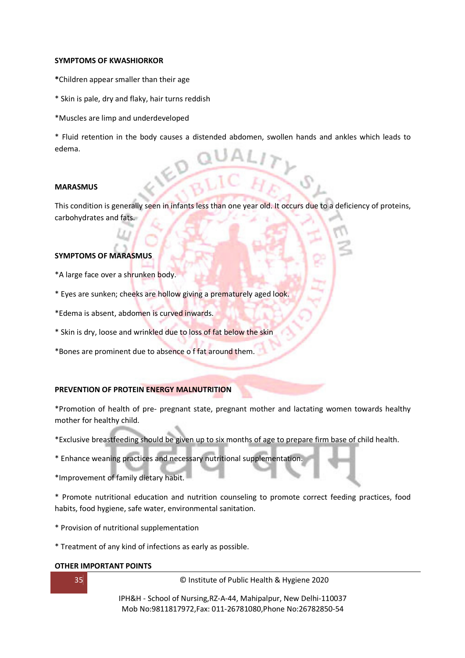#### **SYMPTOMS OF KWASHIORKOR**

- **\***Children appear smaller than their age
- \* Skin is pale, dry and flaky, hair turns reddish
- \*Muscles are limp and underdeveloped

\* Fluid retention in the body causes a distended abdomen, swollen hands and ankles which leads to edema.

#### **MARASMUS**

This condition is generally seen in infants less than one year old. It occurs due to a deficiency of proteins, carbohydrates and fats.

#### **SYMPTOMS OF MARASMUS**

- \*A large face over a shrunken body.
- \* Eyes are sunken; cheeks are hollow giving a prematurely aged look.
- \*Edema is absent, abdomen is curved inwards.
- \* Skin is dry, loose and wrinkled due to loss of fat below the skin
- \*Bones are prominent due to absence o f fat around them.

#### **PREVENTION OF PROTEIN ENERGY MALNUTRITION**

\*Promotion of health of pre- pregnant state, pregnant mother and lactating women towards healthy mother for healthy child.

- \*Exclusive breastfeeding should be given up to six months of age to prepare firm base of child health.
- \* Enhance weaning practices and necessary nutritional supplementation.
- \*Improvement of family dietary habit.

\* Promote nutritional education and nutrition counseling to promote correct feeding practices, food habits, food hygiene, safe water, environmental sanitation.

- \* Provision of nutritional supplementation
- \* Treatment of any kind of infections as early as possible.

#### **OTHER IMPORTANT POINTS**

35 © Institute of Public Health & Hygiene 2020